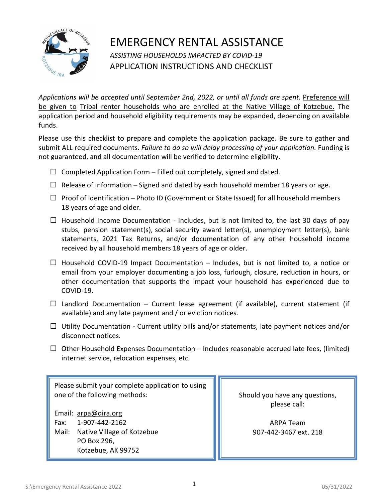

## EMERGENCY RENTAL ASSISTANCE *ASSISTING HOUSEHOLDS IMPACTED BY COVID-19*  APPLICATION INSTRUCTIONS AND CHECKLIST

*Applications will be accepted until September 2nd, 2022, or until all funds are spent.* Preference will be given to Tribal renter households who are enrolled at the Native Village of Kotzebue. The application period and household eligibility requirements may be expanded, depending on available funds.

Please use this checklist to prepare and complete the application package. Be sure to gather and submit ALL required documents. *Failure to do so will delay processing of your application.* Funding is not guaranteed, and all documentation will be verified to determine eligibility.

- $\Box$  Completed Application Form Filled out completely, signed and dated.
- $\Box$  Release of Information Signed and dated by each household member 18 years or age.
- $\Box$  Proof of Identification Photo ID (Government or State Issued) for all household members 18 years of age and older.
- $\Box$  Household Income Documentation Includes, but is not limited to, the last 30 days of pay stubs, pension statement(s), social security award letter(s), unemployment letter(s), bank statements, 2021 Tax Returns, and/or documentation of any other household income received by all household members 18 years of age or older.
- $\Box$  Household COVID-19 Impact Documentation Includes, but is not limited to, a notice or email from your employer documenting a job loss, furlough, closure, reduction in hours, or other documentation that supports the impact your household has experienced due to COVID‐19.
- $\Box$  Landlord Documentation Current lease agreement (if available), current statement (if available) and any late payment and / or eviction notices.
- $\Box$  Utility Documentation Current utility bills and/or statements, late payment notices and/or disconnect notices.
- $\Box$  Other Household Expenses Documentation Includes reasonable accrued late fees, (limited) internet service, relocation expenses, etc*.*

Please submit your complete application to using one of the following methods:

Email: [arpa@qira.org](mailto:arpa@qira.org)  Fax: 1-907-442-2162 Mail: Native Village of Kotzebue PO Box 296, Kotzebue, AK 99752

Should you have any questions, please call:

> ARPA Team 907-442-3467 ext. 218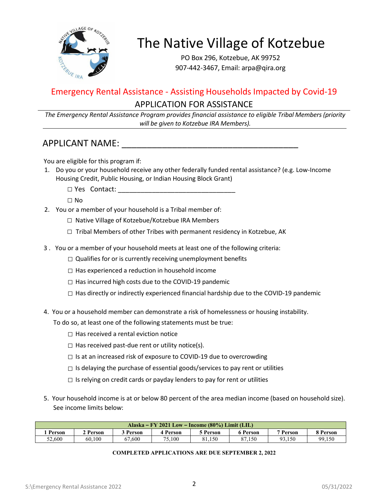

# The Native Village of Kotzebue

PO Box 296, Kotzebue, AK 99752 907-442-3467, Email: arpa@qira.org

## Emergency Rental Assistance - Assisting Households Impacted by Covid-19 APPLICATION FOR ASSISTANCE

*The Emergency Rental Assistance Program provides financial assistance to eligible Tribal Members (priority will be given to Kotzebue IRA Members).* 

### APPLICANT NAME:  $\blacksquare$

You are eligible for this program if:

- 1. Do you or your household receive any other federally funded rental assistance? (e.g. Low-Income Housing Credit, Public Housing, or Indian Housing Block Grant)
	- □ Yes Contact: \_\_\_\_\_\_\_\_\_\_\_\_\_\_\_\_\_\_\_\_\_\_\_\_\_\_\_\_\_\_\_
	- □ No
- 2. You or a member of your household is a Tribal member of:
	- □ Native Village of Kotzebue/Kotzebue IRA Members
	- $\Box$  Tribal Members of other Tribes with permanent residency in Kotzebue, AK
- 3 . You or a member of your household meets at least one of the following criteria:
	- $\Box$  Qualifies for or is currently receiving unemployment benefits
	- $\square$  Has experienced a reduction in household income
	- □ Has incurred high costs due to the COVID-19 pandemic
	- $\square$  Has directly or indirectly experienced financial hardship due to the COVID-19 pandemic
- 4. You or a household member can demonstrate a risk of homelessness or housing instability.

To do so, at least one of the following statements must be true:

- $\Box$  Has received a rental eviction notice
- $\Box$  Has received past-due rent or utility notice(s).
- $\Box$  Is at an increased risk of exposure to COVID-19 due to overcrowding
- $\square$  Is delaying the purchase of essential goods/services to pay rent or utilities
- $\square$  Is relying on credit cards or payday lenders to pay for rent or utilities
- 5. Your household income is at or below 80 percent of the area median income (based on household size). See income limits below:

| Alaska – FY 2021 Low – Income $(80\%)$ Limit (LIL)                                                                       |        |        |        |        |        |        |        |  |
|--------------------------------------------------------------------------------------------------------------------------|--------|--------|--------|--------|--------|--------|--------|--|
| 7 Person<br>Person<br><b>4 Person</b><br><sup>3</sup> Person<br><b>2 Person</b><br><b>Person</b><br>8 Person<br>5 Person |        |        |        |        |        |        |        |  |
| 52.600                                                                                                                   | 60.100 | 67.600 | 75.100 | 81.150 | 87.150 | 93.150 | 99,150 |  |

#### **COMPLETED APPLICATIONS ARE DUE SEPTEMBER 2, 2022**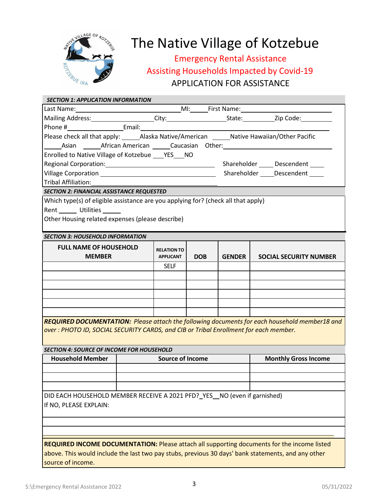

# **The Native Village of Kotzebue**

## Emergency Rental Assistance Assisting Households Impacted by Covid-19 APPLICATION FOR ASSISTANCE

| <b>SECTION 1: APPLICATION INFORMATION</b>                                                                                                                                                                                                   |  |                    |            |               |                                                                                                    |  |  |  |
|---------------------------------------------------------------------------------------------------------------------------------------------------------------------------------------------------------------------------------------------|--|--------------------|------------|---------------|----------------------------------------------------------------------------------------------------|--|--|--|
| MI: First Name: Communication of the Communication of the Communication of the Communication of the Communication of the Communication of the Communication of the Communication of the Communication of the Communication of<br>Last Name: |  |                    |            |               |                                                                                                    |  |  |  |
|                                                                                                                                                                                                                                             |  |                    |            |               |                                                                                                    |  |  |  |
|                                                                                                                                                                                                                                             |  |                    |            |               |                                                                                                    |  |  |  |
| Please check all that apply: ______Alaska Native/American ______Native Hawaiian/Other Pacific                                                                                                                                               |  |                    |            |               |                                                                                                    |  |  |  |
| Asian <b>Antimedia American Caucasian Other:</b> Asian American American Caucasian Other:                                                                                                                                                   |  |                    |            |               |                                                                                                    |  |  |  |
| Enrolled to Native Village of Kotzebue ___ YES___ NO                                                                                                                                                                                        |  |                    |            |               |                                                                                                    |  |  |  |
|                                                                                                                                                                                                                                             |  |                    |            |               |                                                                                                    |  |  |  |
|                                                                                                                                                                                                                                             |  |                    |            |               |                                                                                                    |  |  |  |
| Tribal Affiliation:                                                                                                                                                                                                                         |  |                    |            |               |                                                                                                    |  |  |  |
| <b>SECTION 2: FINANCIAL ASSISTANCE REQUESTED</b>                                                                                                                                                                                            |  |                    |            |               |                                                                                                    |  |  |  |
| Which type(s) of eligible assistance are you applying for? (check all that apply)                                                                                                                                                           |  |                    |            |               |                                                                                                    |  |  |  |
| Rent Utilities                                                                                                                                                                                                                              |  |                    |            |               |                                                                                                    |  |  |  |
| Other Housing related expenses (please describe)                                                                                                                                                                                            |  |                    |            |               |                                                                                                    |  |  |  |
|                                                                                                                                                                                                                                             |  |                    |            |               |                                                                                                    |  |  |  |
| <b>SECTION 3: HOUSEHOLD INFORMATION</b>                                                                                                                                                                                                     |  |                    |            |               |                                                                                                    |  |  |  |
| <b>FULL NAME OF HOUSEHOLD</b>                                                                                                                                                                                                               |  | <b>RELATION TO</b> |            |               |                                                                                                    |  |  |  |
| <b>MEMBER</b>                                                                                                                                                                                                                               |  | <b>APPLICANT</b>   | <b>DOB</b> | <b>GENDER</b> | <b>SOCIAL SECURITY NUMBER</b>                                                                      |  |  |  |
|                                                                                                                                                                                                                                             |  | <b>SELF</b>        |            |               |                                                                                                    |  |  |  |
|                                                                                                                                                                                                                                             |  |                    |            |               |                                                                                                    |  |  |  |
|                                                                                                                                                                                                                                             |  |                    |            |               |                                                                                                    |  |  |  |
|                                                                                                                                                                                                                                             |  |                    |            |               |                                                                                                    |  |  |  |
|                                                                                                                                                                                                                                             |  |                    |            |               |                                                                                                    |  |  |  |
|                                                                                                                                                                                                                                             |  |                    |            |               |                                                                                                    |  |  |  |
| over: PHOTO ID, SOCIAL SECURITY CARDS, and CIB or Tribal Enrollment for each member.                                                                                                                                                        |  |                    |            |               | REQUIRED DOCUMENTATION: Please attach the following documents for each household member18 and      |  |  |  |
| <b>SECTION 4: SOURCE OF INCOME FOR HOUSEHOLD</b>                                                                                                                                                                                            |  |                    |            |               |                                                                                                    |  |  |  |
| <b>Source of Income</b><br><b>Household Member</b><br><b>Monthly Gross Income</b>                                                                                                                                                           |  |                    |            |               |                                                                                                    |  |  |  |
|                                                                                                                                                                                                                                             |  |                    |            |               |                                                                                                    |  |  |  |
|                                                                                                                                                                                                                                             |  |                    |            |               |                                                                                                    |  |  |  |
|                                                                                                                                                                                                                                             |  |                    |            |               |                                                                                                    |  |  |  |
| DID EACH HOUSEHOLD MEMBER RECEIVE A 2021 PFD? YES NO (even if garnished)<br>If NO, PLEASE EXPLAIN:                                                                                                                                          |  |                    |            |               |                                                                                                    |  |  |  |
|                                                                                                                                                                                                                                             |  |                    |            |               |                                                                                                    |  |  |  |
|                                                                                                                                                                                                                                             |  |                    |            |               |                                                                                                    |  |  |  |
|                                                                                                                                                                                                                                             |  |                    |            |               |                                                                                                    |  |  |  |
|                                                                                                                                                                                                                                             |  |                    |            |               | <b>REQUIRED INCOME DOCUMENTATION: Please attach all supporting documents for the income listed</b> |  |  |  |
|                                                                                                                                                                                                                                             |  |                    |            |               | above. This would include the last two pay stubs, previous 30 days' bank statements, and any other |  |  |  |
| source of income.                                                                                                                                                                                                                           |  |                    |            |               |                                                                                                    |  |  |  |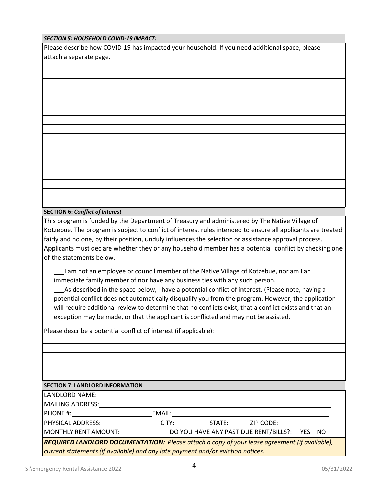#### *SECTION 5: HOUSEHOLD COVID-19 IMPACT:*

Please describe how COVID-19 has impacted your household. If you need additional space, please attach a separate page.

#### **SECTION 6:** *Conflict of Interest*

This program is funded by the Department of Treasury and administered by The Native Village of Kotzebue. The program is subject to conflict of interest rules intended to ensure all applicants are treated fairly and no one, by their position, unduly influences the selection or assistance approval process. Applicants must declare whether they or any household member has a potential conflict by checking one of the statements below.

I am not an employee or council member of the Native Village of Kotzebue, nor am I an immediate family member of nor have any business ties with any such person.

As described in the space below, I have a potential conflict of interest. (Please note, having a potential conflict does not automatically disqualify you from the program. However, the application will require additional review to determine that no conflicts exist, that a conflict exists and that an exception may be made, or that the applicant is conflicted and may not be assisted.

Please describe a potential conflict of interest (if applicable):

#### **SECTION 7: LANDLORD INFORMATION**

| LANDLORD NAME:                                                                                |        |                                              |           |  |  |  |
|-----------------------------------------------------------------------------------------------|--------|----------------------------------------------|-----------|--|--|--|
| MAILING ADDRESS:                                                                              |        |                                              |           |  |  |  |
| PHONE #:                                                                                      | EMAIL: |                                              |           |  |  |  |
| PHYSICAL ADDRESS: NATIONAL PHYSICAL ADDRESS:                                                  | CITY:  | STATE:                                       | ZIP CODE: |  |  |  |
| MONTHLY RENT AMOUNT:                                                                          |        | DO YOU HAVE ANY PAST DUE RENT/BILLS?: YES NO |           |  |  |  |
| REQUIRED LANDLORD DOCUMENTATION: Please attach a copy of your lease agreement (if available), |        |                                              |           |  |  |  |
| current statements (if available) and any late payment and/or eviction notices.               |        |                                              |           |  |  |  |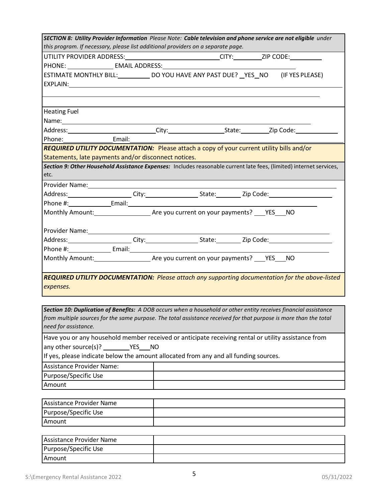| SECTION 8: Utility Provider Information Please Note: Cable television and phone service are not eligible under<br>this program. If necessary, please list additional providers on a separate page.                             |  |                                                                                                                                                                                                                                |  |  |  |  |
|--------------------------------------------------------------------------------------------------------------------------------------------------------------------------------------------------------------------------------|--|--------------------------------------------------------------------------------------------------------------------------------------------------------------------------------------------------------------------------------|--|--|--|--|
|                                                                                                                                                                                                                                |  | UTILITY PROVIDER ADDRESS:____________________________CITY:_________ZIP CODE:__________                                                                                                                                         |  |  |  |  |
| PHONE: EMAIL ADDRESS:                                                                                                                                                                                                          |  |                                                                                                                                                                                                                                |  |  |  |  |
|                                                                                                                                                                                                                                |  | ESTIMATE MONTHLY BILL:_____________ DO YOU HAVE ANY PAST DUE? __ YES__ NO (IF YES PLEASE)                                                                                                                                      |  |  |  |  |
|                                                                                                                                                                                                                                |  |                                                                                                                                                                                                                                |  |  |  |  |
|                                                                                                                                                                                                                                |  |                                                                                                                                                                                                                                |  |  |  |  |
| <b>Heating Fuel</b>                                                                                                                                                                                                            |  |                                                                                                                                                                                                                                |  |  |  |  |
| Name: Name and the second state of the second state of the second state of the second state of the second state of the second state of the second state of the second state of the second state of the second state of the sec |  |                                                                                                                                                                                                                                |  |  |  |  |
|                                                                                                                                                                                                                                |  |                                                                                                                                                                                                                                |  |  |  |  |
| Phone: Email:                                                                                                                                                                                                                  |  |                                                                                                                                                                                                                                |  |  |  |  |
|                                                                                                                                                                                                                                |  | REQUIRED UTILITY DOCUMENTATION: Please attach a copy of your current utility bills and/or                                                                                                                                      |  |  |  |  |
| Statements, late payments and/or disconnect notices.                                                                                                                                                                           |  |                                                                                                                                                                                                                                |  |  |  |  |
|                                                                                                                                                                                                                                |  | Section 9: Other Household Assistance Expenses: Includes reasonable current late fees, (limited) internet services,                                                                                                            |  |  |  |  |
| etc.                                                                                                                                                                                                                           |  |                                                                                                                                                                                                                                |  |  |  |  |
|                                                                                                                                                                                                                                |  | Provider Name: Name and Allen and Allen and Allen and Allen and Allen and Allen and Allen and Allen and Allen                                                                                                                  |  |  |  |  |
|                                                                                                                                                                                                                                |  |                                                                                                                                                                                                                                |  |  |  |  |
|                                                                                                                                                                                                                                |  |                                                                                                                                                                                                                                |  |  |  |  |
|                                                                                                                                                                                                                                |  |                                                                                                                                                                                                                                |  |  |  |  |
|                                                                                                                                                                                                                                |  |                                                                                                                                                                                                                                |  |  |  |  |
|                                                                                                                                                                                                                                |  |                                                                                                                                                                                                                                |  |  |  |  |
|                                                                                                                                                                                                                                |  |                                                                                                                                                                                                                                |  |  |  |  |
|                                                                                                                                                                                                                                |  | Address: _____________________City:_______________________State:___________Zip Code:_________________________                                                                                                                  |  |  |  |  |
|                                                                                                                                                                                                                                |  | Phone #: Email: Email: Email: Email: Email: Email: Email: Email: Email: Email: Email: Email: Email: Email: Email: Email: Email: Email: Email: Email: Email: Email: Email: Email: Email: Email: Email: Email: Email: Email: Ema |  |  |  |  |
|                                                                                                                                                                                                                                |  |                                                                                                                                                                                                                                |  |  |  |  |
|                                                                                                                                                                                                                                |  |                                                                                                                                                                                                                                |  |  |  |  |
| expenses.                                                                                                                                                                                                                      |  | <b>REQUIRED UTILITY DOCUMENTATION:</b> Please attach any supporting documentation for the above-listed                                                                                                                         |  |  |  |  |

*Section 10: Duplication of Benefits: A DOB occurs when a household or other entity receives financial assistance*  from multiple sources for the same purpose. The total assistance received for that purpose is more than the total *need for assistance.*

| Have you or any household member received or anticipate receiving rental or utility assistance from |  |  |  |  |  |  |
|-----------------------------------------------------------------------------------------------------|--|--|--|--|--|--|
| any other source(s)? $YES$ NO                                                                       |  |  |  |  |  |  |
| If yes, please indicate below the amount allocated from any and all funding sources.                |  |  |  |  |  |  |
| Assistance Provider Name:                                                                           |  |  |  |  |  |  |
| Purpose/Specific Use                                                                                |  |  |  |  |  |  |
| Amount                                                                                              |  |  |  |  |  |  |

| Assistance Provider Name |  |
|--------------------------|--|
| Purpose/Specific Use     |  |
| <b>Amount</b>            |  |

| Assistance Provider Name |  |
|--------------------------|--|
| Purpose/Specific Use     |  |
| Amount                   |  |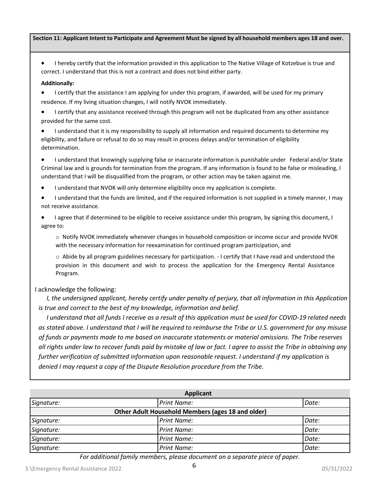#### Section 11: Applicant Intent to Participate and Agreement Must be signed by all household members ages 18 and over.

• I hereby certify that the information provided in this application to The Native Village of Kotzebue is true and correct. I understand that this is not a contract and does not bind either party.

#### **Additionally:**

• I certify that the assistance I am applying for under this program, if awarded, will be used for my primary residence. If my living situation changes, I will notify NVOK immediately.

• I certify that any assistance received through this program will not be duplicated from any other assistance provided for the same cost.

• I understand that it is my responsibility to supply all information and required documents to determine my eligibility, and failure or refusal to do so may result in process delays and/or termination of eligibility determination.

• I understand that knowingly supplying false or inaccurate information is punishable under Federal and/or State Criminal law and is grounds for termination from the program. If any information is found to be false or misleading, I understand that I will be disqualified from the program, or other action may be taken against me.

• I understand that NVOK will only determine eligibility once my application is complete.

• I understand that the funds are limited, and if the required information is not supplied in a timely manner, I may not receive assistance.

• I agree that if determined to be eligible to receive assistance under this program, by signing this document, I agree to:

o Notify NVOK immediately whenever changes in household composition or income occur and provide NVOK with the necessary information for reexamination for continued program participation, and

o Abide by all program guidelines necessary for participation. - I certify that I have read and understood the provision in this document and wish to process the application for the Emergency Rental Assistance Program.

#### I acknowledge the following:

*I*, the undersigned applicant, hereby certify under penalty of perjury, that all information in this Application *is true and correct to the best of my knowledge, information and belief.* 

 *I understand that all funds I receive as a result of this application must be used for COVID-19 related needs as stated above. I understand that I will be required to reimburse the Tribe or U.S. government for any misuse of funds or payments made to me based on inaccurate statements or material omissions. The Tribe reserves all rights under law to recover funds paid by mistake of law or fact. I agree to assist the Tribe in obtaining any further verification of submitted information upon reasonable request. I understand if my application is denied I may request a copy of the Dispute Resolution procedure from the Tribe.*

| <b>Applicant</b>                                  |                    |       |  |  |
|---------------------------------------------------|--------------------|-------|--|--|
| Signature:                                        | <b>Print Name:</b> | Date: |  |  |
| Other Adult Household Members (ages 18 and older) |                    |       |  |  |
| Signature:                                        | Print Name:        | Date: |  |  |
| Signature:                                        | <b>Print Name:</b> | Date: |  |  |
| Signature:                                        | <b>Print Name:</b> | Date: |  |  |
| Signature:                                        | Print Name:        | Date: |  |  |

*For additional family members, please document on a separate piece of paper.*